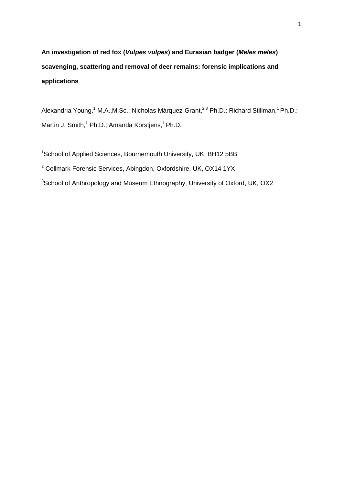**An investigation of red fox (***Vulpes vulpes***) and Eurasian badger (***Meles meles***) scavenging, scattering and removal of deer remains: forensic implications and applications**

Alexandria Young,<sup>1</sup> M.A., M.Sc.; Nicholas Márquez-Grant,<sup>2,3</sup> Ph.D.; Richard Stillman,<sup>1</sup> Ph.D.; Martin J. Smith,<sup>1</sup> Ph.D.; Amanda Korstjens,<sup>1</sup> Ph.D.

<sup>1</sup>School of Applied Sciences, Bournemouth University, UK, BH12 5BB <sup>2</sup> Cellmark Forensic Services, Abingdon, Oxfordshire, UK, OX14 1YX <sup>3</sup>School of Anthropology and Museum Ethnography, University of Oxford, UK, OX2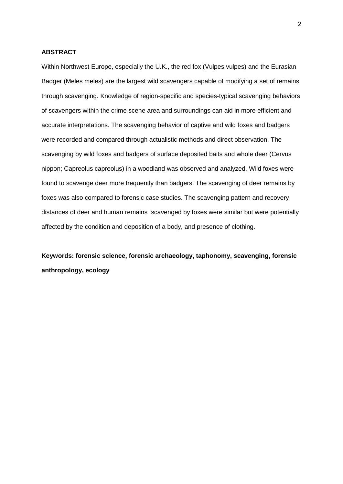#### **ABSTRACT**

Within Northwest Europe, especially the U.K., the red fox (Vulpes vulpes) and the Eurasian Badger (Meles meles) are the largest wild scavengers capable of modifying a set of remains through scavenging. Knowledge of region-specific and species-typical scavenging behaviors of scavengers within the crime scene area and surroundings can aid in more efficient and accurate interpretations. The scavenging behavior of captive and wild foxes and badgers were recorded and compared through actualistic methods and direct observation. The scavenging by wild foxes and badgers of surface deposited baits and whole deer (Cervus nippon; Capreolus capreolus) in a woodland was observed and analyzed. Wild foxes were found to scavenge deer more frequently than badgers. The scavenging of deer remains by foxes was also compared to forensic case studies. The scavenging pattern and recovery distances of deer and human remains scavenged by foxes were similar but were potentially affected by the condition and deposition of a body, and presence of clothing.

**Keywords: forensic science, forensic archaeology, taphonomy, scavenging, forensic anthropology, ecology**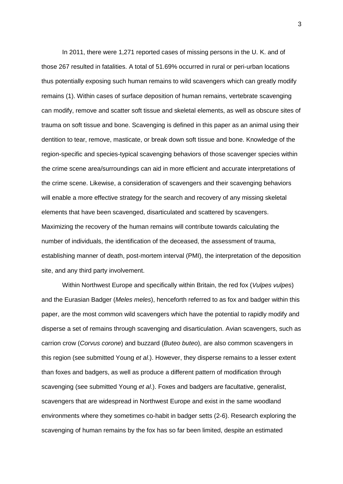In 2011, there were 1,271 reported cases of missing persons in the U. K. and of those 267 resulted in fatalities. A total of 51.69% occurred in rural or peri-urban locations thus potentially exposing such human remains to wild scavengers which can greatly modify remains (1). Within cases of surface deposition of human remains, vertebrate scavenging can modify, remove and scatter soft tissue and skeletal elements, as well as obscure sites of trauma on soft tissue and bone. Scavenging is defined in this paper as an animal using their dentition to tear, remove, masticate, or break down soft tissue and bone. Knowledge of the region-specific and species-typical scavenging behaviors of those scavenger species within the crime scene area/surroundings can aid in more efficient and accurate interpretations of the crime scene. Likewise, a consideration of scavengers and their scavenging behaviors will enable a more effective strategy for the search and recovery of any missing skeletal elements that have been scavenged, disarticulated and scattered by scavengers. Maximizing the recovery of the human remains will contribute towards calculating the number of individuals, the identification of the deceased, the assessment of trauma, establishing manner of death, post-mortem interval (PMI), the interpretation of the deposition site, and any third party involvement.

Within Northwest Europe and specifically within Britain, the red fox (*Vulpes vulpes*) and the Eurasian Badger (*Meles meles*), henceforth referred to as fox and badger within this paper, are the most common wild scavengers which have the potential to rapidly modify and disperse a set of remains through scavenging and disarticulation. Avian scavengers, such as carrion crow (*Corvus corone*) and buzzard (*Buteo buteo*), are also common scavengers in this region (see submitted Young *et al*.). However, they disperse remains to a lesser extent than foxes and badgers, as well as produce a different pattern of modification through scavenging (see submitted Young *et al*.). Foxes and badgers are facultative, generalist, scavengers that are widespread in Northwest Europe and exist in the same woodland environments where they sometimes co-habit in badger setts (2-6). Research exploring the scavenging of human remains by the fox has so far been limited, despite an estimated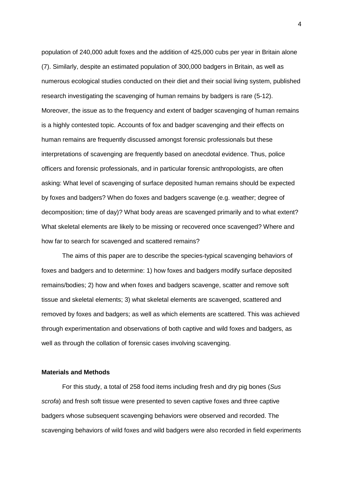population of 240,000 adult foxes and the addition of 425,000 cubs per year in Britain alone (7). Similarly, despite an estimated population of 300,000 badgers in Britain, as well as numerous ecological studies conducted on their diet and their social living system, published research investigating the scavenging of human remains by badgers is rare (5-12). Moreover, the issue as to the frequency and extent of badger scavenging of human remains is a highly contested topic. Accounts of fox and badger scavenging and their effects on human remains are frequently discussed amongst forensic professionals but these interpretations of scavenging are frequently based on anecdotal evidence. Thus, police officers and forensic professionals, and in particular forensic anthropologists, are often asking: What level of scavenging of surface deposited human remains should be expected by foxes and badgers? When do foxes and badgers scavenge (e.g. weather; degree of decomposition; time of day)? What body areas are scavenged primarily and to what extent? What skeletal elements are likely to be missing or recovered once scavenged? Where and how far to search for scavenged and scattered remains?

The aims of this paper are to describe the species-typical scavenging behaviors of foxes and badgers and to determine: 1) how foxes and badgers modify surface deposited remains/bodies; 2) how and when foxes and badgers scavenge, scatter and remove soft tissue and skeletal elements; 3) what skeletal elements are scavenged, scattered and removed by foxes and badgers; as well as which elements are scattered. This was achieved through experimentation and observations of both captive and wild foxes and badgers, as well as through the collation of forensic cases involving scavenging.

## **Materials and Methods**

For this study, a total of 258 food items including fresh and dry pig bones (*Sus scrofa*) and fresh soft tissue were presented to seven captive foxes and three captive badgers whose subsequent scavenging behaviors were observed and recorded. The scavenging behaviors of wild foxes and wild badgers were also recorded in field experiments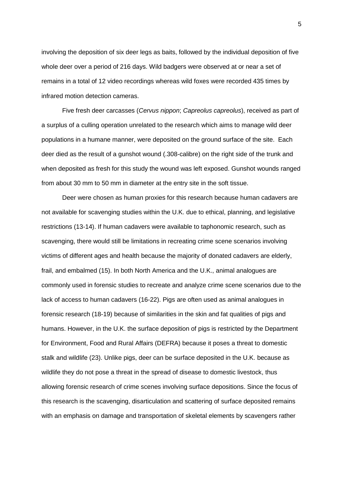involving the deposition of six deer legs as baits, followed by the individual deposition of five whole deer over a period of 216 days. Wild badgers were observed at or near a set of remains in a total of 12 video recordings whereas wild foxes were recorded 435 times by infrared motion detection cameras.

Five fresh deer carcasses (*Cervus nippon*; *Capreolus capreolus*), received as part of a surplus of a culling operation unrelated to the research which aims to manage wild deer populations in a humane manner, were deposited on the ground surface of the site. Each deer died as the result of a gunshot wound (.308-calibre) on the right side of the trunk and when deposited as fresh for this study the wound was left exposed. Gunshot wounds ranged from about 30 mm to 50 mm in diameter at the entry site in the soft tissue.

Deer were chosen as human proxies for this research because human cadavers are not available for scavenging studies within the U.K. due to ethical, planning, and legislative restrictions (13-14). If human cadavers were available to taphonomic research, such as scavenging, there would still be limitations in recreating crime scene scenarios involving victims of different ages and health because the majority of donated cadavers are elderly, frail, and embalmed (15). In both North America and the U.K., animal analogues are commonly used in forensic studies to recreate and analyze crime scene scenarios due to the lack of access to human cadavers (16-22). Pigs are often used as animal analogues in forensic research (18-19) because of similarities in the skin and fat qualities of pigs and humans. However, in the U.K. the surface deposition of pigs is restricted by the Department for Environment, Food and Rural Affairs (DEFRA) because it poses a threat to domestic stalk and wildlife (23). Unlike pigs, deer can be surface deposited in the U.K. because as wildlife they do not pose a threat in the spread of disease to domestic livestock, thus allowing forensic research of crime scenes involving surface depositions. Since the focus of this research is the scavenging, disarticulation and scattering of surface deposited remains with an emphasis on damage and transportation of skeletal elements by scavengers rather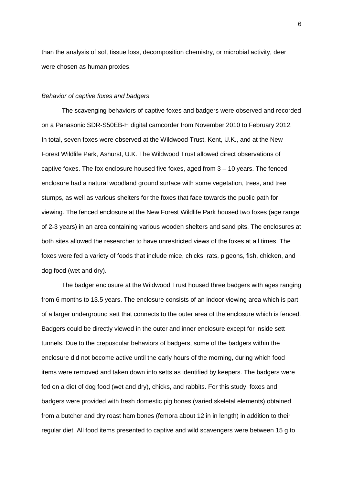than the analysis of soft tissue loss, decomposition chemistry, or microbial activity, deer were chosen as human proxies.

#### *Behavior of captive foxes and badgers*

The scavenging behaviors of captive foxes and badgers were observed and recorded on a Panasonic SDR-S50EB-H digital camcorder from November 2010 to February 2012. In total, seven foxes were observed at the Wildwood Trust, Kent, U.K., and at the New Forest Wildlife Park, Ashurst, U.K. The Wildwood Trust allowed direct observations of captive foxes. The fox enclosure housed five foxes, aged from 3 – 10 years. The fenced enclosure had a natural woodland ground surface with some vegetation, trees, and tree stumps, as well as various shelters for the foxes that face towards the public path for viewing. The fenced enclosure at the New Forest Wildlife Park housed two foxes (age range of 2-3 years) in an area containing various wooden shelters and sand pits. The enclosures at both sites allowed the researcher to have unrestricted views of the foxes at all times. The foxes were fed a variety of foods that include mice, chicks, rats, pigeons, fish, chicken, and dog food (wet and dry).

The badger enclosure at the Wildwood Trust housed three badgers with ages ranging from 6 months to 13.5 years. The enclosure consists of an indoor viewing area which is part of a larger underground sett that connects to the outer area of the enclosure which is fenced. Badgers could be directly viewed in the outer and inner enclosure except for inside sett tunnels. Due to the crepuscular behaviors of badgers, some of the badgers within the enclosure did not become active until the early hours of the morning, during which food items were removed and taken down into setts as identified by keepers. The badgers were fed on a diet of dog food (wet and dry), chicks, and rabbits. For this study, foxes and badgers were provided with fresh domestic pig bones (varied skeletal elements) obtained from a butcher and dry roast ham bones (femora about 12 in in length) in addition to their regular diet. All food items presented to captive and wild scavengers were between 15 g to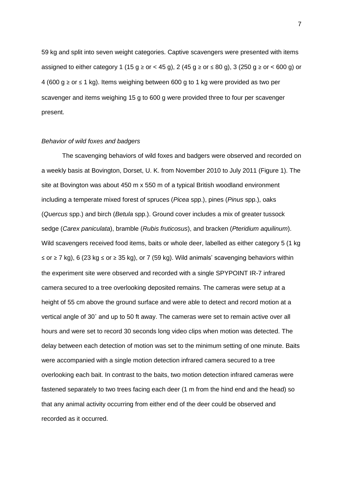59 kg and split into seven weight categories. Captive scavengers were presented with items assigned to either category 1 (15 g  $\geq$  or < 45 g), 2 (45 g  $\geq$  or  $\leq$  80 g), 3 (250 g  $\geq$  or  $\lt$  600 g) or 4 (600 g ≥ or ≤ 1 kg). Items weighing between 600 g to 1 kg were provided as two per scavenger and items weighing 15 g to 600 g were provided three to four per scavenger present.

## *Behavior of wild foxes and badgers*

The scavenging behaviors of wild foxes and badgers were observed and recorded on a weekly basis at Bovington, Dorset, U. K. from November 2010 to July 2011 (Figure 1). The site at Bovington was about 450 m x 550 m of a typical British woodland environment including a temperate mixed forest of spruces (*Picea* spp.), pines (*Pinus* spp.), oaks (*Quercus* spp.) and birch (*Betula* spp.). Ground cover includes a mix of greater tussock sedge (*Carex paniculata*), bramble (*Rubis fruticosus*), and bracken (*Pteridium aquilinum*). Wild scavengers received food items, baits or whole deer, labelled as either category 5 (1 kg) ≤ or ≥ 7 kg), 6 (23 kg ≤ or ≥ 35 kg), or 7 (59 kg). Wild animals' scavenging behaviors within the experiment site were observed and recorded with a single SPYPOINT IR-7 infrared camera secured to a tree overlooking deposited remains. The cameras were setup at a height of 55 cm above the ground surface and were able to detect and record motion at a vertical angle of 30˚ and up to 50 ft away. The cameras were set to remain active over all hours and were set to record 30 seconds long video clips when motion was detected. The delay between each detection of motion was set to the minimum setting of one minute. Baits were accompanied with a single motion detection infrared camera secured to a tree overlooking each bait. In contrast to the baits, two motion detection infrared cameras were fastened separately to two trees facing each deer (1 m from the hind end and the head) so that any animal activity occurring from either end of the deer could be observed and recorded as it occurred.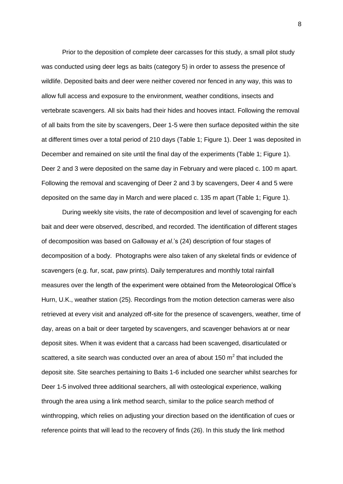Prior to the deposition of complete deer carcasses for this study, a small pilot study was conducted using deer legs as baits (category 5) in order to assess the presence of wildlife. Deposited baits and deer were neither covered nor fenced in any way, this was to allow full access and exposure to the environment, weather conditions, insects and vertebrate scavengers. All six baits had their hides and hooves intact. Following the removal of all baits from the site by scavengers, Deer 1-5 were then surface deposited within the site at different times over a total period of 210 days (Table 1; Figure 1). Deer 1 was deposited in December and remained on site until the final day of the experiments (Table 1; Figure 1). Deer 2 and 3 were deposited on the same day in February and were placed c. 100 m apart. Following the removal and scavenging of Deer 2 and 3 by scavengers, Deer 4 and 5 were deposited on the same day in March and were placed c. 135 m apart (Table 1; Figure 1).

During weekly site visits, the rate of decomposition and level of scavenging for each bait and deer were observed, described, and recorded. The identification of different stages of decomposition was based on Galloway *et al*.'s (24) description of four stages of decomposition of a body. Photographs were also taken of any skeletal finds or evidence of scavengers (e.g. fur, scat, paw prints). Daily temperatures and monthly total rainfall measures over the length of the experiment were obtained from the Meteorological Office's Hurn, U.K., weather station (25). Recordings from the motion detection cameras were also retrieved at every visit and analyzed off-site for the presence of scavengers, weather, time of day, areas on a bait or deer targeted by scavengers, and scavenger behaviors at or near deposit sites. When it was evident that a carcass had been scavenged, disarticulated or scattered, a site search was conducted over an area of about 150  $m^2$  that included the deposit site. Site searches pertaining to Baits 1-6 included one searcher whilst searches for Deer 1-5 involved three additional searchers, all with osteological experience, walking through the area using a link method search, similar to the police search method of winthropping, which relies on adjusting your direction based on the identification of cues or reference points that will lead to the recovery of finds (26). In this study the link method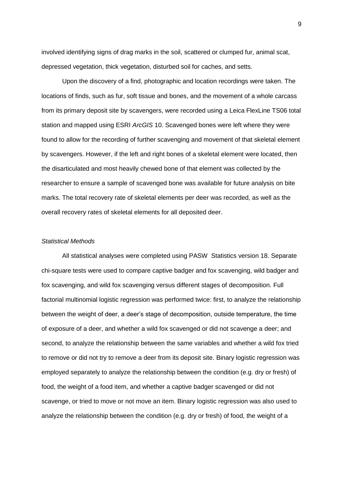involved identifying signs of drag marks in the soil, scattered or clumped fur, animal scat, depressed vegetation, thick vegetation, disturbed soil for caches, and setts.

Upon the discovery of a find, photographic and location recordings were taken. The locations of finds, such as fur, soft tissue and bones, and the movement of a whole carcass from its primary deposit site by scavengers, were recorded using a Leica FlexLine TS06 total station and mapped using ESRI *ArcGIS* 10. Scavenged bones were left where they were found to allow for the recording of further scavenging and movement of that skeletal element by scavengers. However, if the left and right bones of a skeletal element were located, then the disarticulated and most heavily chewed bone of that element was collected by the researcher to ensure a sample of scavenged bone was available for future analysis on bite marks. The total recovery rate of skeletal elements per deer was recorded, as well as the overall recovery rates of skeletal elements for all deposited deer.

#### *Statistical Methods*

All statistical analyses were completed using PASW Statistics version 18. Separate chi-square tests were used to compare captive badger and fox scavenging, wild badger and fox scavenging, and wild fox scavenging versus different stages of decomposition. Full factorial multinomial logistic regression was performed twice: first, to analyze the relationship between the weight of deer, a deer's stage of decomposition, outside temperature, the time of exposure of a deer, and whether a wild fox scavenged or did not scavenge a deer; and second, to analyze the relationship between the same variables and whether a wild fox tried to remove or did not try to remove a deer from its deposit site. Binary logistic regression was employed separately to analyze the relationship between the condition (e.g. dry or fresh) of food, the weight of a food item, and whether a captive badger scavenged or did not scavenge, or tried to move or not move an item. Binary logistic regression was also used to analyze the relationship between the condition (e.g. dry or fresh) of food, the weight of a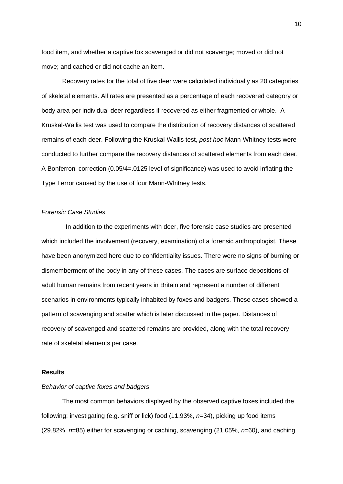food item, and whether a captive fox scavenged or did not scavenge; moved or did not move; and cached or did not cache an item.

Recovery rates for the total of five deer were calculated individually as 20 categories of skeletal elements. All rates are presented as a percentage of each recovered category or body area per individual deer regardless if recovered as either fragmented or whole. A Kruskal-Wallis test was used to compare the distribution of recovery distances of scattered remains of each deer. Following the Kruskal-Wallis test, *post hoc* Mann-Whitney tests were conducted to further compare the recovery distances of scattered elements from each deer. A Bonferroni correction (0.05/4=.0125 level of significance) was used to avoid inflating the Type I error caused by the use of four Mann-Whitney tests.

## *Forensic Case Studies*

 In addition to the experiments with deer, five forensic case studies are presented which included the involvement (recovery, examination) of a forensic anthropologist. These have been anonymized here due to confidentiality issues. There were no signs of burning or dismemberment of the body in any of these cases. The cases are surface depositions of adult human remains from recent years in Britain and represent a number of different scenarios in environments typically inhabited by foxes and badgers. These cases showed a pattern of scavenging and scatter which is later discussed in the paper. Distances of recovery of scavenged and scattered remains are provided, along with the total recovery rate of skeletal elements per case.

#### **Results**

## *Behavior of captive foxes and badgers*

The most common behaviors displayed by the observed captive foxes included the following: investigating (e.g. sniff or lick) food (11.93%, *n*=34), picking up food items (29.82%, *n*=85) either for scavenging or caching, scavenging (21.05%, *n*=60), and caching

10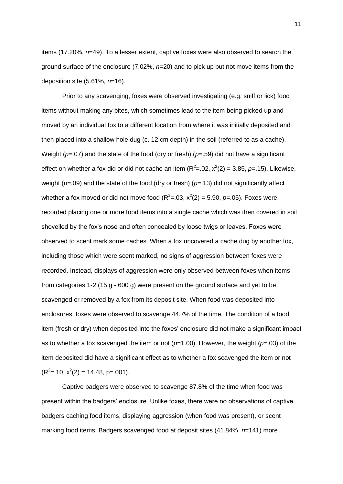items (17.20%, *n*=49). To a lesser extent, captive foxes were also observed to search the ground surface of the enclosure (7.02%, *n*=20) and to pick up but not move items from the deposition site (5.61%, *n*=16).

Prior to any scavenging, foxes were observed investigating (e.g. sniff or lick) food items without making any bites, which sometimes lead to the item being picked up and moved by an individual fox to a different location from where it was initially deposited and then placed into a shallow hole dug (c. 12 cm depth) in the soil (referred to as a cache). Weight ( $p=0$ .07) and the state of the food (dry or fresh) ( $p=0.59$ ) did not have a significant effect on whether a fox did or did not cache an item  $(R^2=0.02, x^2(2)=3.85, p=.15)$ . Likewise, weight (*p*=.09) and the state of the food (dry or fresh) (*p*=.13) did not significantly affect whether a fox moved or did not move food  $(R^2=0.03, x^2(2)=5.90, p=.05)$ . Foxes were recorded placing one or more food items into a single cache which was then covered in soil shovelled by the fox's nose and often concealed by loose twigs or leaves. Foxes were observed to scent mark some caches. When a fox uncovered a cache dug by another fox, including those which were scent marked, no signs of aggression between foxes were recorded. Instead, displays of aggression were only observed between foxes when items from categories 1-2 (15 g - 600 g) were present on the ground surface and yet to be scavenged or removed by a fox from its deposit site. When food was deposited into enclosures, foxes were observed to scavenge 44.7% of the time. The condition of a food item (fresh or dry) when deposited into the foxes' enclosure did not make a significant impact as to whether a fox scavenged the item or not (*p*=1.00). However, the weight (*p*=.03) of the item deposited did have a significant effect as to whether a fox scavenged the item or not  $(R<sup>2</sup>=.10, x<sup>2</sup>(2) = 14.48, p=.001).$ 

Captive badgers were observed to scavenge 87.8% of the time when food was present within the badgers' enclosure. Unlike foxes, there were no observations of captive badgers caching food items, displaying aggression (when food was present), or scent marking food items. Badgers scavenged food at deposit sites (41.84%, *n*=141) more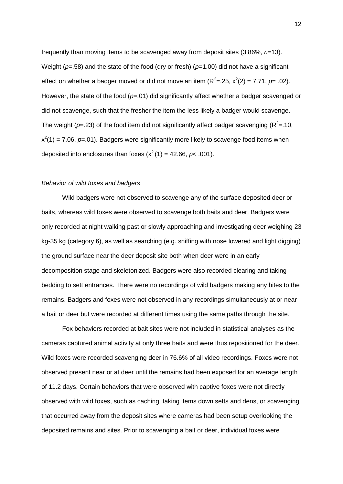frequently than moving items to be scavenged away from deposit sites (3.86%, *n*=13). Weight ( $p=0.58$ ) and the state of the food (dry or fresh) ( $p=1.00$ ) did not have a significant effect on whether a badger moved or did not move an item  $(R^2 = .25, x^2(2) = 7.71, p = .02)$ . However, the state of the food ( $p=0.01$ ) did significantly affect whether a badger scavenged or did not scavenge, such that the fresher the item the less likely a badger would scavenge. The weight ( $p = 23$ ) of the food item did not significantly affect badger scavenging ( $R^2 = 10$ ,  $x^2(1) = 7.06$ ,  $p=01$ ). Badgers were significantly more likely to scavenge food items when deposited into enclosures than foxes  $(x^2(1) = 42.66, p < .001)$ .

#### *Behavior of wild foxes and badgers*

Wild badgers were not observed to scavenge any of the surface deposited deer or baits, whereas wild foxes were observed to scavenge both baits and deer. Badgers were only recorded at night walking past or slowly approaching and investigating deer weighing 23 kg-35 kg (category 6), as well as searching (e.g. sniffing with nose lowered and light digging) the ground surface near the deer deposit site both when deer were in an early decomposition stage and skeletonized. Badgers were also recorded clearing and taking bedding to sett entrances. There were no recordings of wild badgers making any bites to the remains. Badgers and foxes were not observed in any recordings simultaneously at or near a bait or deer but were recorded at different times using the same paths through the site.

Fox behaviors recorded at bait sites were not included in statistical analyses as the cameras captured animal activity at only three baits and were thus repositioned for the deer. Wild foxes were recorded scavenging deer in 76.6% of all video recordings. Foxes were not observed present near or at deer until the remains had been exposed for an average length of 11.2 days. Certain behaviors that were observed with captive foxes were not directly observed with wild foxes, such as caching, taking items down setts and dens, or scavenging that occurred away from the deposit sites where cameras had been setup overlooking the deposited remains and sites. Prior to scavenging a bait or deer, individual foxes were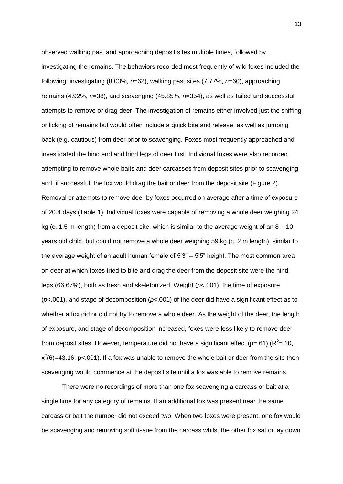observed walking past and approaching deposit sites multiple times, followed by investigating the remains. The behaviors recorded most frequently of wild foxes included the following: investigating (8.03%, *n*=62), walking past sites (7.77%, *n*=60), approaching remains (4.92%, *n*=38), and scavenging (45.85%, *n*=354), as well as failed and successful attempts to remove or drag deer. The investigation of remains either involved just the sniffing or licking of remains but would often include a quick bite and release, as well as jumping back (e.g. cautious) from deer prior to scavenging. Foxes most frequently approached and investigated the hind end and hind legs of deer first. Individual foxes were also recorded attempting to remove whole baits and deer carcasses from deposit sites prior to scavenging and, if successful, the fox would drag the bait or deer from the deposit site (Figure 2). Removal or attempts to remove deer by foxes occurred on average after a time of exposure of 20.4 days (Table 1). Individual foxes were capable of removing a whole deer weighing 24 kg (c. 1.5 m length) from a deposit site, which is similar to the average weight of an  $8 - 10$ years old child, but could not remove a whole deer weighing 59 kg (c. 2 m length), similar to the average weight of an adult human female of 5'3" – 5'5" height. The most common area on deer at which foxes tried to bite and drag the deer from the deposit site were the hind legs (66.67%), both as fresh and skeletonized. Weight (*p*<.001), the time of exposure (*p*<.001), and stage of decomposition (*p*<.001) of the deer did have a significant effect as to whether a fox did or did not try to remove a whole deer. As the weight of the deer, the length of exposure, and stage of decomposition increased, foxes were less likely to remove deer from deposit sites. However, temperature did not have a significant effect (p=.61) ( $R^2$ =.10,  $x^2(6)$ =43.16, p<.001). If a fox was unable to remove the whole bait or deer from the site then scavenging would commence at the deposit site until a fox was able to remove remains.

There were no recordings of more than one fox scavenging a carcass or bait at a single time for any category of remains. If an additional fox was present near the same carcass or bait the number did not exceed two. When two foxes were present, one fox would be scavenging and removing soft tissue from the carcass whilst the other fox sat or lay down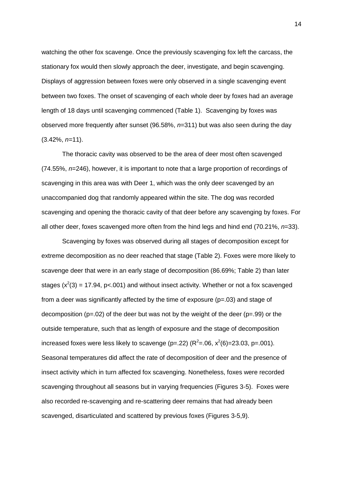watching the other fox scavenge. Once the previously scavenging fox left the carcass, the stationary fox would then slowly approach the deer, investigate, and begin scavenging. Displays of aggression between foxes were only observed in a single scavenging event between two foxes. The onset of scavenging of each whole deer by foxes had an average length of 18 days until scavenging commenced (Table 1). Scavenging by foxes was observed more frequently after sunset (96.58%, *n*=311) but was also seen during the day (3.42%, *n=*11).

The thoracic cavity was observed to be the area of deer most often scavenged (74.55%, *n*=246), however, it is important to note that a large proportion of recordings of scavenging in this area was with Deer 1, which was the only deer scavenged by an unaccompanied dog that randomly appeared within the site. The dog was recorded scavenging and opening the thoracic cavity of that deer before any scavenging by foxes. For all other deer, foxes scavenged more often from the hind legs and hind end (70.21%, *n*=33).

Scavenging by foxes was observed during all stages of decomposition except for extreme decomposition as no deer reached that stage (Table 2). Foxes were more likely to scavenge deer that were in an early stage of decomposition (86.69%; Table 2) than later stages ( $x^2(3)$  = 17.94, p<.001) and without insect activity. Whether or not a fox scavenged from a deer was significantly affected by the time of exposure (p=.03) and stage of decomposition ( $p=.02$ ) of the deer but was not by the weight of the deer ( $p=.99$ ) or the outside temperature, such that as length of exposure and the stage of decomposition increased foxes were less likely to scavenge (p=.22) ( $R^2$ =.06,  $x^2$ (6)=23.03, p=.001). Seasonal temperatures did affect the rate of decomposition of deer and the presence of insect activity which in turn affected fox scavenging. Nonetheless, foxes were recorded scavenging throughout all seasons but in varying frequencies (Figures 3-5). Foxes were also recorded re-scavenging and re-scattering deer remains that had already been scavenged, disarticulated and scattered by previous foxes (Figures 3-5,9).

14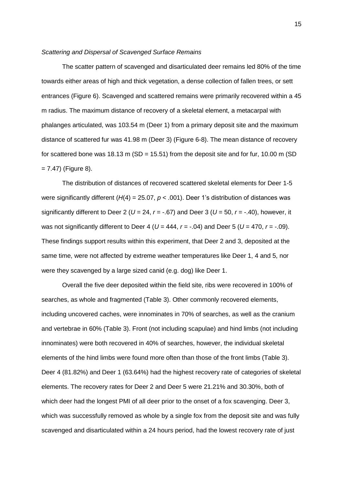#### *Scattering and Dispersal of Scavenged Surface Remains*

The scatter pattern of scavenged and disarticulated deer remains led 80% of the time towards either areas of high and thick vegetation, a dense collection of fallen trees, or sett entrances (Figure 6). Scavenged and scattered remains were primarily recovered within a 45 m radius. The maximum distance of recovery of a skeletal element, a metacarpal with phalanges articulated, was 103.54 m (Deer 1) from a primary deposit site and the maximum distance of scattered fur was 41.98 m (Deer 3) (Figure 6-8). The mean distance of recovery for scattered bone was 18.13 m (SD = 15.51) from the deposit site and for fur, 10.00 m (SD  $= 7.47$ ) (Figure 8).

The distribution of distances of recovered scattered skeletal elements for Deer 1-5 were significantly different (*H*(4) = 25.07, *p* < .001). Deer 1's distribution of distances was significantly different to Deer 2 ( $U = 24$ ,  $r = -.67$ ) and Deer 3 ( $U = 50$ ,  $r = -.40$ ), however, it was not significantly different to Deer 4 (*U* = 444, *r* = -.04) and Deer 5 (*U* = 470, *r* = -.09). These findings support results within this experiment, that Deer 2 and 3, deposited at the same time, were not affected by extreme weather temperatures like Deer 1, 4 and 5, nor were they scavenged by a large sized canid (e.g. dog) like Deer 1.

Overall the five deer deposited within the field site, ribs were recovered in 100% of searches, as whole and fragmented (Table 3). Other commonly recovered elements, including uncovered caches, were innominates in 70% of searches, as well as the cranium and vertebrae in 60% (Table 3). Front (not including scapulae) and hind limbs (not including innominates) were both recovered in 40% of searches, however, the individual skeletal elements of the hind limbs were found more often than those of the front limbs (Table 3). Deer 4 (81.82%) and Deer 1 (63.64%) had the highest recovery rate of categories of skeletal elements. The recovery rates for Deer 2 and Deer 5 were 21.21% and 30.30%, both of which deer had the longest PMI of all deer prior to the onset of a fox scavenging. Deer 3, which was successfully removed as whole by a single fox from the deposit site and was fully scavenged and disarticulated within a 24 hours period, had the lowest recovery rate of just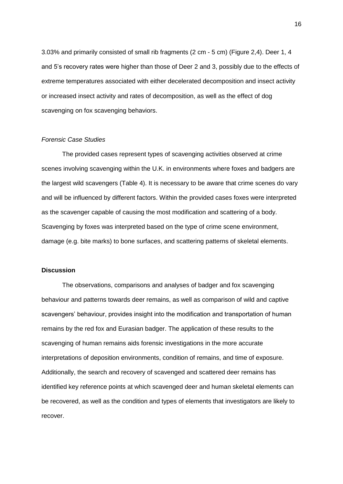3.03% and primarily consisted of small rib fragments (2 cm - 5 cm) (Figure 2,4). Deer 1, 4 and 5's recovery rates were higher than those of Deer 2 and 3, possibly due to the effects of extreme temperatures associated with either decelerated decomposition and insect activity or increased insect activity and rates of decomposition, as well as the effect of dog scavenging on fox scavenging behaviors.

## *Forensic Case Studies*

The provided cases represent types of scavenging activities observed at crime scenes involving scavenging within the U.K. in environments where foxes and badgers are the largest wild scavengers (Table 4). It is necessary to be aware that crime scenes do vary and will be influenced by different factors. Within the provided cases foxes were interpreted as the scavenger capable of causing the most modification and scattering of a body. Scavenging by foxes was interpreted based on the type of crime scene environment, damage (e.g. bite marks) to bone surfaces, and scattering patterns of skeletal elements.

## **Discussion**

The observations, comparisons and analyses of badger and fox scavenging behaviour and patterns towards deer remains, as well as comparison of wild and captive scavengers' behaviour, provides insight into the modification and transportation of human remains by the red fox and Eurasian badger. The application of these results to the scavenging of human remains aids forensic investigations in the more accurate interpretations of deposition environments, condition of remains, and time of exposure. Additionally, the search and recovery of scavenged and scattered deer remains has identified key reference points at which scavenged deer and human skeletal elements can be recovered, as well as the condition and types of elements that investigators are likely to recover.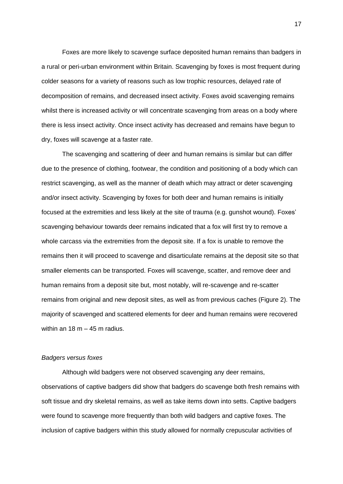Foxes are more likely to scavenge surface deposited human remains than badgers in a rural or peri-urban environment within Britain. Scavenging by foxes is most frequent during colder seasons for a variety of reasons such as low trophic resources, delayed rate of decomposition of remains, and decreased insect activity. Foxes avoid scavenging remains whilst there is increased activity or will concentrate scavenging from areas on a body where there is less insect activity. Once insect activity has decreased and remains have begun to dry, foxes will scavenge at a faster rate.

The scavenging and scattering of deer and human remains is similar but can differ due to the presence of clothing, footwear, the condition and positioning of a body which can restrict scavenging, as well as the manner of death which may attract or deter scavenging and/or insect activity. Scavenging by foxes for both deer and human remains is initially focused at the extremities and less likely at the site of trauma (e.g. gunshot wound). Foxes' scavenging behaviour towards deer remains indicated that a fox will first try to remove a whole carcass via the extremities from the deposit site. If a fox is unable to remove the remains then it will proceed to scavenge and disarticulate remains at the deposit site so that smaller elements can be transported. Foxes will scavenge, scatter, and remove deer and human remains from a deposit site but, most notably, will re-scavenge and re-scatter remains from original and new deposit sites, as well as from previous caches (Figure 2). The majority of scavenged and scattered elements for deer and human remains were recovered within an  $18 m - 45 m$  radius.

#### *Badgers versus foxes*

Although wild badgers were not observed scavenging any deer remains, observations of captive badgers did show that badgers do scavenge both fresh remains with soft tissue and dry skeletal remains, as well as take items down into setts. Captive badgers were found to scavenge more frequently than both wild badgers and captive foxes. The inclusion of captive badgers within this study allowed for normally crepuscular activities of

17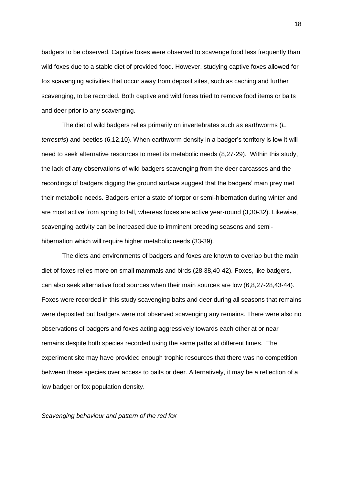badgers to be observed. Captive foxes were observed to scavenge food less frequently than wild foxes due to a stable diet of provided food. However, studying captive foxes allowed for fox scavenging activities that occur away from deposit sites, such as caching and further scavenging, to be recorded. Both captive and wild foxes tried to remove food items or baits and deer prior to any scavenging.

The diet of wild badgers relies primarily on invertebrates such as earthworms (*L. terrestris*) and beetles (6,12,10). When earthworm density in a badger's territory is low it will need to seek alternative resources to meet its metabolic needs (8,27-29). Within this study, the lack of any observations of wild badgers scavenging from the deer carcasses and the recordings of badgers digging the ground surface suggest that the badgers' main prey met their metabolic needs. Badgers enter a state of torpor or semi-hibernation during winter and are most active from spring to fall, whereas foxes are active year-round (3,30-32). Likewise, scavenging activity can be increased due to imminent breeding seasons and semihibernation which will require higher metabolic needs (33-39).

The diets and environments of badgers and foxes are known to overlap but the main diet of foxes relies more on small mammals and birds (28,38,40-42). Foxes, like badgers, can also seek alternative food sources when their main sources are low (6,8,27-28,43-44). Foxes were recorded in this study scavenging baits and deer during all seasons that remains were deposited but badgers were not observed scavenging any remains. There were also no observations of badgers and foxes acting aggressively towards each other at or near remains despite both species recorded using the same paths at different times. The experiment site may have provided enough trophic resources that there was no competition between these species over access to baits or deer. Alternatively, it may be a reflection of a low badger or fox population density.

*Scavenging behaviour and pattern of the red fox*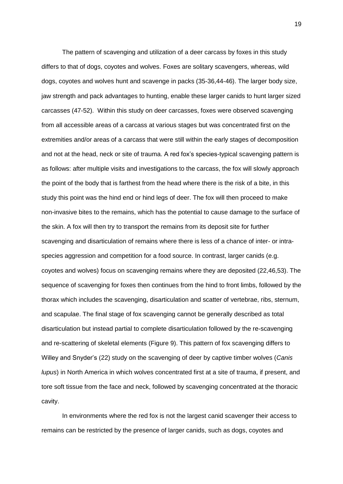The pattern of scavenging and utilization of a deer carcass by foxes in this study differs to that of dogs, coyotes and wolves. Foxes are solitary scavengers, whereas, wild dogs, coyotes and wolves hunt and scavenge in packs (35-36,44-46). The larger body size, jaw strength and pack advantages to hunting, enable these larger canids to hunt larger sized carcasses (47-52). Within this study on deer carcasses, foxes were observed scavenging from all accessible areas of a carcass at various stages but was concentrated first on the extremities and/or areas of a carcass that were still within the early stages of decomposition and not at the head, neck or site of trauma. A red fox's species-typical scavenging pattern is as follows: after multiple visits and investigations to the carcass, the fox will slowly approach the point of the body that is farthest from the head where there is the risk of a bite, in this study this point was the hind end or hind legs of deer. The fox will then proceed to make non-invasive bites to the remains, which has the potential to cause damage to the surface of the skin. A fox will then try to transport the remains from its deposit site for further scavenging and disarticulation of remains where there is less of a chance of inter- or intraspecies aggression and competition for a food source. In contrast, larger canids (e.g. coyotes and wolves) focus on scavenging remains where they are deposited (22,46,53). The sequence of scavenging for foxes then continues from the hind to front limbs, followed by the thorax which includes the scavenging, disarticulation and scatter of vertebrae, ribs, sternum, and scapulae. The final stage of fox scavenging cannot be generally described as total disarticulation but instead partial to complete disarticulation followed by the re-scavenging and re-scattering of skeletal elements (Figure 9). This pattern of fox scavenging differs to Willey and Snyder's (22) study on the scavenging of deer by captive timber wolves (*Canis lupus*) in North America in which wolves concentrated first at a site of trauma, if present, and tore soft tissue from the face and neck, followed by scavenging concentrated at the thoracic cavity.

In environments where the red fox is not the largest canid scavenger their access to remains can be restricted by the presence of larger canids, such as dogs, coyotes and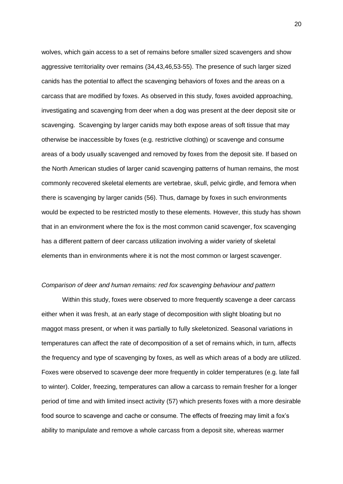wolves, which gain access to a set of remains before smaller sized scavengers and show aggressive territoriality over remains (34,43,46,53-55). The presence of such larger sized canids has the potential to affect the scavenging behaviors of foxes and the areas on a carcass that are modified by foxes. As observed in this study, foxes avoided approaching, investigating and scavenging from deer when a dog was present at the deer deposit site or scavenging. Scavenging by larger canids may both expose areas of soft tissue that may otherwise be inaccessible by foxes (e.g. restrictive clothing) or scavenge and consume areas of a body usually scavenged and removed by foxes from the deposit site. If based on the North American studies of larger canid scavenging patterns of human remains, the most commonly recovered skeletal elements are vertebrae, skull, pelvic girdle, and femora when there is scavenging by larger canids (56). Thus, damage by foxes in such environments would be expected to be restricted mostly to these elements. However, this study has shown that in an environment where the fox is the most common canid scavenger, fox scavenging has a different pattern of deer carcass utilization involving a wider variety of skeletal elements than in environments where it is not the most common or largest scavenger.

#### *Comparison of deer and human remains: red fox scavenging behaviour and pattern*

Within this study, foxes were observed to more frequently scavenge a deer carcass either when it was fresh, at an early stage of decomposition with slight bloating but no maggot mass present, or when it was partially to fully skeletonized. Seasonal variations in temperatures can affect the rate of decomposition of a set of remains which, in turn, affects the frequency and type of scavenging by foxes, as well as which areas of a body are utilized. Foxes were observed to scavenge deer more frequently in colder temperatures (e.g. late fall to winter). Colder, freezing, temperatures can allow a carcass to remain fresher for a longer period of time and with limited insect activity (57) which presents foxes with a more desirable food source to scavenge and cache or consume. The effects of freezing may limit a fox's ability to manipulate and remove a whole carcass from a deposit site, whereas warmer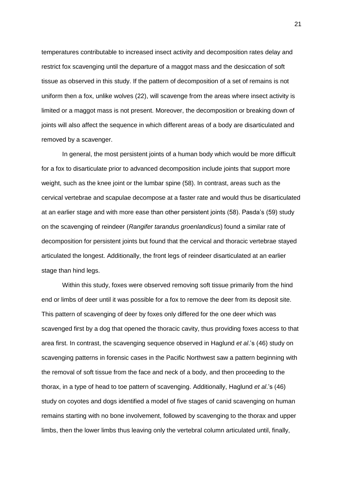temperatures contributable to increased insect activity and decomposition rates delay and restrict fox scavenging until the departure of a maggot mass and the desiccation of soft tissue as observed in this study. If the pattern of decomposition of a set of remains is not uniform then a fox, unlike wolves (22), will scavenge from the areas where insect activity is limited or a maggot mass is not present. Moreover, the decomposition or breaking down of joints will also affect the sequence in which different areas of a body are disarticulated and removed by a scavenger.

In general, the most persistent joints of a human body which would be more difficult for a fox to disarticulate prior to advanced decomposition include joints that support more weight, such as the knee joint or the lumbar spine (58). In contrast, areas such as the cervical vertebrae and scapulae decompose at a faster rate and would thus be disarticulated at an earlier stage and with more ease than other persistent joints (58). Pasda's (59) study on the scavenging of reindeer (*Rangifer tarandus groenlandicus*) found a similar rate of decomposition for persistent joints but found that the cervical and thoracic vertebrae stayed articulated the longest. Additionally, the front legs of reindeer disarticulated at an earlier stage than hind legs.

Within this study, foxes were observed removing soft tissue primarily from the hind end or limbs of deer until it was possible for a fox to remove the deer from its deposit site. This pattern of scavenging of deer by foxes only differed for the one deer which was scavenged first by a dog that opened the thoracic cavity, thus providing foxes access to that area first. In contrast, the scavenging sequence observed in Haglund *et al*.'s (46) study on scavenging patterns in forensic cases in the Pacific Northwest saw a pattern beginning with the removal of soft tissue from the face and neck of a body, and then proceeding to the thorax, in a type of head to toe pattern of scavenging. Additionally, Haglund *et al*.'s (46) study on coyotes and dogs identified a model of five stages of canid scavenging on human remains starting with no bone involvement, followed by scavenging to the thorax and upper limbs, then the lower limbs thus leaving only the vertebral column articulated until, finally,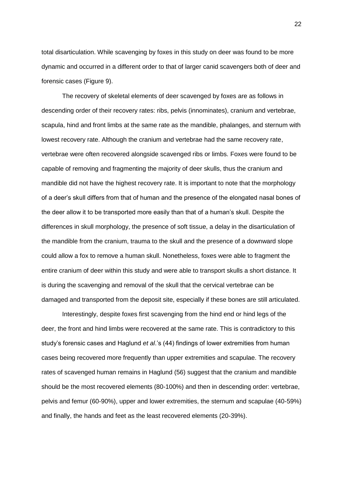total disarticulation. While scavenging by foxes in this study on deer was found to be more dynamic and occurred in a different order to that of larger canid scavengers both of deer and forensic cases (Figure 9).

The recovery of skeletal elements of deer scavenged by foxes are as follows in descending order of their recovery rates: ribs, pelvis (innominates), cranium and vertebrae, scapula, hind and front limbs at the same rate as the mandible, phalanges, and sternum with lowest recovery rate. Although the cranium and vertebrae had the same recovery rate, vertebrae were often recovered alongside scavenged ribs or limbs. Foxes were found to be capable of removing and fragmenting the majority of deer skulls, thus the cranium and mandible did not have the highest recovery rate. It is important to note that the morphology of a deer's skull differs from that of human and the presence of the elongated nasal bones of the deer allow it to be transported more easily than that of a human's skull. Despite the differences in skull morphology, the presence of soft tissue, a delay in the disarticulation of the mandible from the cranium, trauma to the skull and the presence of a downward slope could allow a fox to remove a human skull. Nonetheless, foxes were able to fragment the entire cranium of deer within this study and were able to transport skulls a short distance. It is during the scavenging and removal of the skull that the cervical vertebrae can be damaged and transported from the deposit site, especially if these bones are still articulated.

Interestingly, despite foxes first scavenging from the hind end or hind legs of the deer, the front and hind limbs were recovered at the same rate. This is contradictory to this study's forensic cases and Haglund *et al*.'s (44) findings of lower extremities from human cases being recovered more frequently than upper extremities and scapulae. The recovery rates of scavenged human remains in Haglund (56) suggest that the cranium and mandible should be the most recovered elements (80-100%) and then in descending order: vertebrae, pelvis and femur (60-90%), upper and lower extremities, the sternum and scapulae (40-59%) and finally, the hands and feet as the least recovered elements (20-39%).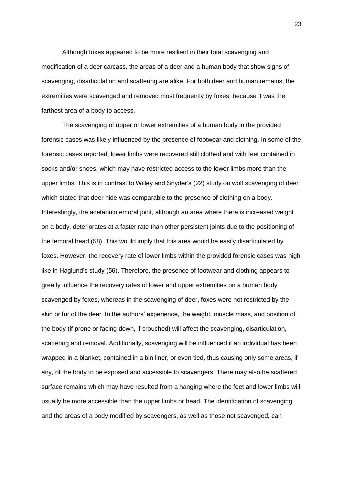Although foxes appeared to be more resilient in their total scavenging and modification of a deer carcass, the areas of a deer and a human body that show signs of scavenging, disarticulation and scattering are alike. For both deer and human remains, the extremities were scavenged and removed most frequently by foxes, because it was the farthest area of a body to access.

The scavenging of upper or lower extremities of a human body in the provided forensic cases was likely influenced by the presence of footwear and clothing. In some of the forensic cases reported, lower limbs were recovered still clothed and with feet contained in socks and/or shoes, which may have restricted access to the lower limbs more than the upper limbs. This is in contrast to Willey and Snyder's (22) study on wolf scavenging of deer which stated that deer hide was comparable to the presence of clothing on a body. Interestingly, the acetabulofemoral joint, although an area where there is increased weight on a body, deteriorates at a faster rate than other persistent joints due to the positioning of the femoral head (58). This would imply that this area would be easily disarticulated by foxes. However, the recovery rate of lower limbs within the provided forensic cases was high like in Haglund's study (56). Therefore, the presence of footwear and clothing appears to greatly influence the recovery rates of lower and upper extremities on a human body scavenged by foxes, whereas in the scavenging of deer, foxes were not restricted by the skin or fur of the deer. In the authors' experience, the weight, muscle mass, and position of the body (if prone or facing down, if crouched) will affect the scavenging, disarticulation, scattering and removal. Additionally, scavenging will be influenced if an individual has been wrapped in a blanket, contained in a bin liner, or even tied, thus causing only some areas, if any, of the body to be exposed and accessible to scavengers. There may also be scattered surface remains which may have resulted from a hanging where the feet and lower limbs will usually be more accessible than the upper limbs or head. The identification of scavenging and the areas of a body modified by scavengers, as well as those not scavenged, can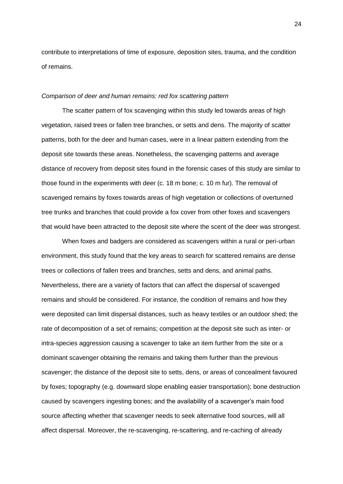contribute to interpretations of time of exposure, deposition sites, trauma, and the condition of remains.

#### *Comparison of deer and human remains: red fox scattering pattern*

The scatter pattern of fox scavenging within this study led towards areas of high vegetation, raised trees or fallen tree branches, or setts and dens. The majority of scatter patterns, both for the deer and human cases, were in a linear pattern extending from the deposit site towards these areas. Nonetheless, the scavenging patterns and average distance of recovery from deposit sites found in the forensic cases of this study are similar to those found in the experiments with deer (c. 18 m bone; c. 10 m fur). The removal of scavenged remains by foxes towards areas of high vegetation or collections of overturned tree trunks and branches that could provide a fox cover from other foxes and scavengers that would have been attracted to the deposit site where the scent of the deer was strongest.

When foxes and badgers are considered as scavengers within a rural or peri-urban environment, this study found that the key areas to search for scattered remains are dense trees or collections of fallen trees and branches, setts and dens, and animal paths. Nevertheless, there are a variety of factors that can affect the dispersal of scavenged remains and should be considered. For instance, the condition of remains and how they were deposited can limit dispersal distances, such as heavy textiles or an outdoor shed; the rate of decomposition of a set of remains; competition at the deposit site such as inter- or intra-species aggression causing a scavenger to take an item further from the site or a dominant scavenger obtaining the remains and taking them further than the previous scavenger; the distance of the deposit site to setts, dens, or areas of concealment favoured by foxes; topography (e.g. downward slope enabling easier transportation); bone destruction caused by scavengers ingesting bones; and the availability of a scavenger's main food source affecting whether that scavenger needs to seek alternative food sources, will all affect dispersal. Moreover, the re-scavenging, re-scattering, and re-caching of already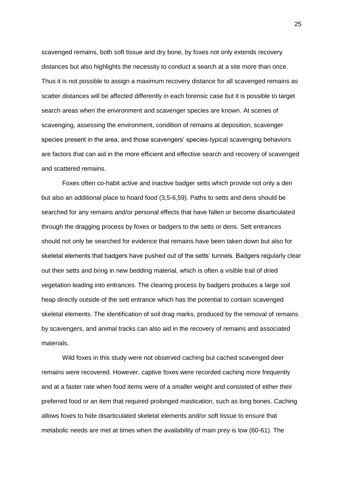scavenged remains, both soft tissue and dry bone, by foxes not only extends recovery distances but also highlights the necessity to conduct a search at a site more than once. Thus it is not possible to assign a maximum recovery distance for all scavenged remains as scatter distances will be affected differently in each forensic case but it is possible to target search areas when the environment and scavenger species are known. At scenes of scavenging, assessing the environment, condition of remains at deposition, scavenger species present in the area, and those scavengers' species-typical scavenging behaviors are factors that can aid in the more efficient and effective search and recovery of scavenged and scattered remains.

Foxes often co-habit active and inactive badger setts which provide not only a den but also an additional place to hoard food (3,5-6,59). Paths to setts and dens should be searched for any remains and/or personal effects that have fallen or become disarticulated through the dragging process by foxes or badgers to the setts or dens. Sett entrances should not only be searched for evidence that remains have been taken down but also for skeletal elements that badgers have pushed out of the setts' tunnels. Badgers regularly clear out their setts and bring in new bedding material, which is often a visible trail of dried vegetation leading into entrances. The clearing process by badgers produces a large soil heap directly outside of the sett entrance which has the potential to contain scavenged skeletal elements. The identification of soil drag marks, produced by the removal of remains by scavengers, and animal tracks can also aid in the recovery of remains and associated materials.

Wild foxes in this study were not observed caching but cached scavenged deer remains were recovered. However, captive foxes were recorded caching more frequently and at a faster rate when food items were of a smaller weight and consisted of either their preferred food or an item that required prolonged mastication, such as long bones. Caching allows foxes to hide disarticulated skeletal elements and/or soft tissue to ensure that metabolic needs are met at times when the availability of main prey is low (60-61). The

25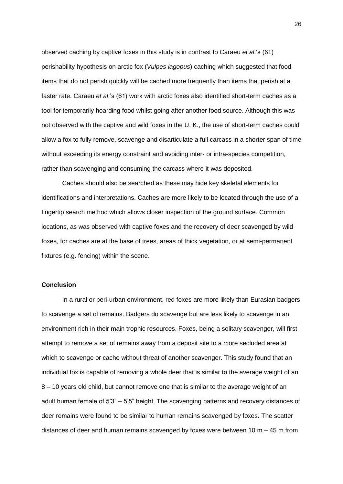observed caching by captive foxes in this study is in contrast to Caraeu *et al*.'s (61) perishability hypothesis on arctic fox (*Vulpes lagopus*) caching which suggested that food items that do not perish quickly will be cached more frequently than items that perish at a faster rate. Caraeu *et al*.'s (61) work with arctic foxes also identified short-term caches as a tool for temporarily hoarding food whilst going after another food source. Although this was not observed with the captive and wild foxes in the U. K., the use of short-term caches could allow a fox to fully remove, scavenge and disarticulate a full carcass in a shorter span of time without exceeding its energy constraint and avoiding inter- or intra-species competition, rather than scavenging and consuming the carcass where it was deposited.

Caches should also be searched as these may hide key skeletal elements for identifications and interpretations. Caches are more likely to be located through the use of a fingertip search method which allows closer inspection of the ground surface. Common locations, as was observed with captive foxes and the recovery of deer scavenged by wild foxes, for caches are at the base of trees, areas of thick vegetation, or at semi-permanent fixtures (e.g. fencing) within the scene.

## **Conclusion**

In a rural or peri-urban environment, red foxes are more likely than Eurasian badgers to scavenge a set of remains. Badgers do scavenge but are less likely to scavenge in an environment rich in their main trophic resources. Foxes, being a solitary scavenger, will first attempt to remove a set of remains away from a deposit site to a more secluded area at which to scavenge or cache without threat of another scavenger. This study found that an individual fox is capable of removing a whole deer that is similar to the average weight of an 8 – 10 years old child, but cannot remove one that is similar to the average weight of an adult human female of 5'3" – 5'5" height. The scavenging patterns and recovery distances of deer remains were found to be similar to human remains scavenged by foxes. The scatter distances of deer and human remains scavenged by foxes were between 10 m – 45 m from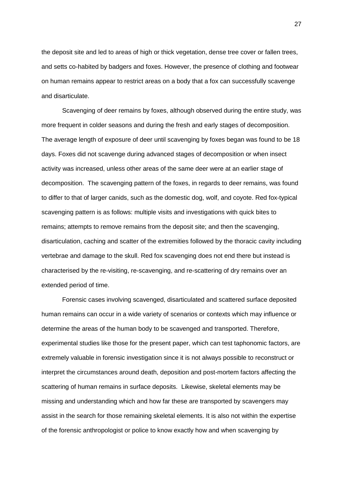the deposit site and led to areas of high or thick vegetation, dense tree cover or fallen trees, and setts co-habited by badgers and foxes. However, the presence of clothing and footwear on human remains appear to restrict areas on a body that a fox can successfully scavenge and disarticulate.

Scavenging of deer remains by foxes, although observed during the entire study, was more frequent in colder seasons and during the fresh and early stages of decomposition. The average length of exposure of deer until scavenging by foxes began was found to be 18 days. Foxes did not scavenge during advanced stages of decomposition or when insect activity was increased, unless other areas of the same deer were at an earlier stage of decomposition. The scavenging pattern of the foxes, in regards to deer remains, was found to differ to that of larger canids, such as the domestic dog, wolf, and coyote. Red fox-typical scavenging pattern is as follows: multiple visits and investigations with quick bites to remains; attempts to remove remains from the deposit site; and then the scavenging, disarticulation, caching and scatter of the extremities followed by the thoracic cavity including vertebrae and damage to the skull. Red fox scavenging does not end there but instead is characterised by the re-visiting, re-scavenging, and re-scattering of dry remains over an extended period of time.

Forensic cases involving scavenged, disarticulated and scattered surface deposited human remains can occur in a wide variety of scenarios or contexts which may influence or determine the areas of the human body to be scavenged and transported. Therefore, experimental studies like those for the present paper, which can test taphonomic factors, are extremely valuable in forensic investigation since it is not always possible to reconstruct or interpret the circumstances around death, deposition and post-mortem factors affecting the scattering of human remains in surface deposits. Likewise, skeletal elements may be missing and understanding which and how far these are transported by scavengers may assist in the search for those remaining skeletal elements. It is also not within the expertise of the forensic anthropologist or police to know exactly how and when scavenging by

27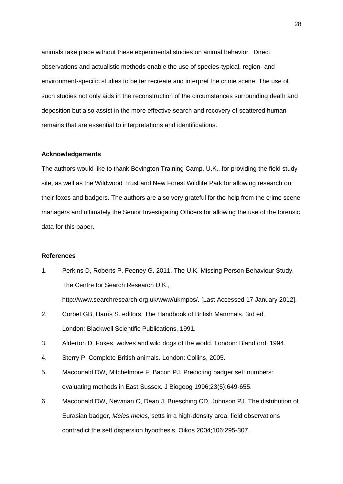animals take place without these experimental studies on animal behavior. Direct observations and actualistic methods enable the use of species-typical, region- and environment-specific studies to better recreate and interpret the crime scene. The use of such studies not only aids in the reconstruction of the circumstances surrounding death and deposition but also assist in the more effective search and recovery of scattered human remains that are essential to interpretations and identifications.

## **Acknowledgements**

The authors would like to thank Bovington Training Camp, U.K., for providing the field study site, as well as the Wildwood Trust and New Forest Wildlife Park for allowing research on their foxes and badgers. The authors are also very grateful for the help from the crime scene managers and ultimately the Senior Investigating Officers for allowing the use of the forensic data for this paper.

#### **References**

- 1. Perkins D, Roberts P, Feeney G. 2011. The U.K. Missing Person Behaviour Study. The Centre for Search Research U.K., http://www.searchresearch.org.uk/www/ukmpbs/. [Last Accessed 17 January 2012].
- 2. Corbet GB, Harris S. editors. The Handbook of British Mammals. 3rd ed. London: Blackwell Scientific Publications, 1991.
- 3. Alderton D. Foxes, wolves and wild dogs of the world*.* London: Blandford, 1994.
- 4. Sterry P. Complete British animals*.* London: Collins, 2005.
- 5. Macdonald DW, Mitchelmore F, Bacon PJ. Predicting badger sett numbers: evaluating methods in East Sussex. J Biogeog 1996;23(5):649-655.
- 6. Macdonald DW, Newman C, Dean J, Buesching CD, Johnson PJ. The distribution of Eurasian badger, *Meles meles*, setts in a high-density area: field observations contradict the sett dispersion hypothesis. Oikos 2004;106:295-307.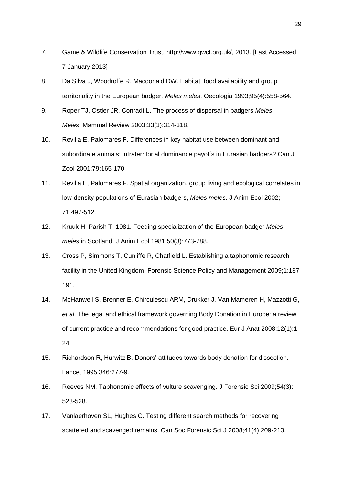- 7. Game & Wildlife Conservation Trust, http://www.gwct.org.uk/, 2013. [Last Accessed 7 January 2013]
- 8. Da Silva J, Woodroffe R, Macdonald DW. Habitat, food availability and group territoriality in the European badger, *Meles meles*. Oecologia 1993;95(4):558-564.
- 9. Roper TJ, Ostler JR, Conradt L. The process of dispersal in badgers *Meles Meles*. Mammal Review 2003;33(3):314-318.
- 10. Revilla E, Palomares F. Differences in key habitat use between dominant and subordinate animals: intraterritorial dominance payoffs in Eurasian badgers? Can J Zool 2001;79:165-170.
- 11. Revilla E, Palomares F. Spatial organization, group living and ecological correlates in low-density populations of Eurasian badgers, *Meles meles*. J Anim Ecol 2002; 71:497-512.
- 12. Kruuk H, Parish T. 1981. Feeding specialization of the European badger *Meles meles* in Scotland. J Anim Ecol 1981;50(3):773-788.
- 13. Cross P, Simmons T, Cunliffe R, Chatfield L. Establishing a taphonomic research facility in the United Kingdom. Forensic Science Policy and Management 2009;1:187- 191.
- 14. McHanwell S, Brenner E, Chirculescu ARM, Drukker J, Van Mameren H, Mazzotti G, *et al*. The legal and ethical framework governing Body Donation in Europe: a review of current practice and recommendations for good practice. Eur J Anat 2008;12(1):1- 24.
- 15. Richardson R, Hurwitz B. Donors' attitudes towards body donation for dissection. Lancet 1995;346:277-9.
- 16. Reeves NM. Taphonomic effects of vulture scavenging. J Forensic Sci 2009;54(3): 523-528.
- 17. Vanlaerhoven SL, Hughes C. Testing different search methods for recovering scattered and scavenged remains. Can Soc Forensic Sci J 2008;41(4):209-213.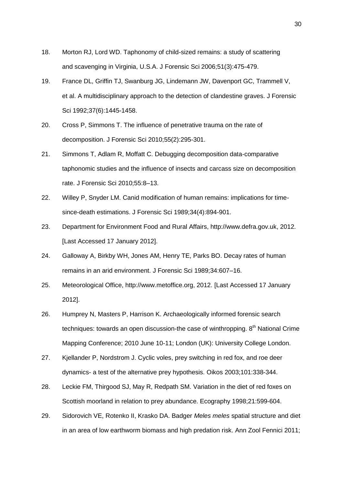- 18. Morton RJ, Lord WD. Taphonomy of child-sized remains: a study of scattering and scavenging in Virginia, U.S.A. J Forensic Sci 2006;51(3):475-479.
- 19. France DL, Griffin TJ, Swanburg JG, Lindemann JW, Davenport GC, Trammell V, et al. A multidisciplinary approach to the detection of clandestine graves. J Forensic Sci 1992;37(6):1445-1458.
- 20. Cross P, Simmons T. The influence of penetrative trauma on the rate of decomposition. J Forensic Sci 2010;55(2):295-301.
- 21. Simmons T, Adlam R, Moffatt C. Debugging decomposition data-comparative taphonomic studies and the influence of insects and carcass size on decomposition rate. J Forensic Sci 2010;55:8–13.
- 22. Willey P, Snyder LM. Canid modification of human remains: implications for timesince-death estimations. J Forensic Sci 1989;34(4):894-901.
- 23. Department for Environment Food and Rural Affairs, http://www.defra.gov.uk, 2012. [Last Accessed 17 January 2012].
- 24. Galloway A, Birkby WH, Jones AM, Henry TE, Parks BO. Decay rates of human remains in an arid environment. J Forensic Sci 1989;34:607–16.
- 25. Meteorological Office, http://www.metoffice.org, 2012. [Last Accessed 17 January 2012].
- 26. Humprey N, Masters P, Harrison K. Archaeologically informed forensic search techniques: towards an open discussion-the case of winthropping.  $8<sup>th</sup>$  National Crime Mapping Conference; 2010 June 10-11; London (UK): University College London.
- 27. Kjellander P, Nordstrom J. Cyclic voles, prey switching in red fox, and roe deer dynamics- a test of the alternative prey hypothesis. Oikos 2003;101:338-344.
- 28. Leckie FM, Thirgood SJ, May R, Redpath SM. Variation in the diet of red foxes on Scottish moorland in relation to prey abundance. Ecography 1998;21:599-604.
- 29. Sidorovich VE, Rotenko II, Krasko DA. Badger *Meles meles* spatial structure and diet in an area of low earthworm biomass and high predation risk. Ann Zool Fennici 2011;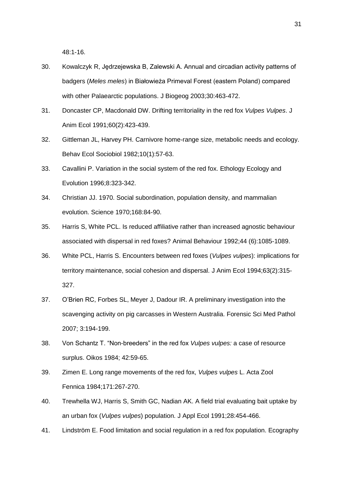48:1-16.

- 30. Kowalczyk R, Jedrzejewska B, Zalewski A. Annual and circadian activity patterns of badgers (*Meles meles*) in Białowieża Primeval Forest (eastern Poland) compared with other Palaearctic populations. J Biogeog 2003;30:463-472.
- 31. Doncaster CP, Macdonald DW. Drifting territoriality in the red fox *Vulpes Vulpes*. J Anim Ecol 1991;60(2):423-439.
- 32. Gittleman JL, Harvey PH. Carnivore home-range size, metabolic needs and ecology. Behav Ecol Sociobiol 1982;10(1):57-63.
- 33. Cavallini P. Variation in the social system of the red fox. Ethology Ecology and Evolution 1996;8:323-342.
- 34. Christian JJ. 1970. Social subordination, population density, and mammalian evolution. Science 1970;168:84-90.
- 35. Harris S, White PCL. Is reduced affiliative rather than increased agnostic behaviour associated with dispersal in red foxes? Animal Behaviour 1992;44 (6):1085-1089.
- 36. White PCL, Harris S. Encounters between red foxes (*Vulpes vulpes*): implications for territory maintenance, social cohesion and dispersal. J Anim Ecol 1994;63(2):315- 327.
- 37. O'Brien RC, Forbes SL, Meyer J, Dadour IR. A preliminary investigation into the scavenging activity on pig carcasses in Western Australia. Forensic Sci Med Pathol 2007; 3:194-199.
- 38. Von Schantz T. "Non-breeders" in the red fox *Vulpes vulpes:* a case of resource surplus. Oikos 1984; 42:59-65.
- 39. Zimen E. Long range movements of the red fox, *Vulpes vulpes* L. Acta Zool Fennica 1984;171:267-270.
- 40. Trewhella WJ, Harris S, Smith GC, Nadian AK. A field trial evaluating bait uptake by an urban fox (*Vulpes vulpes*) population. J Appl Ecol 1991;28:454-466.
- 41. Lindström E. Food limitation and social regulation in a red fox population. Ecography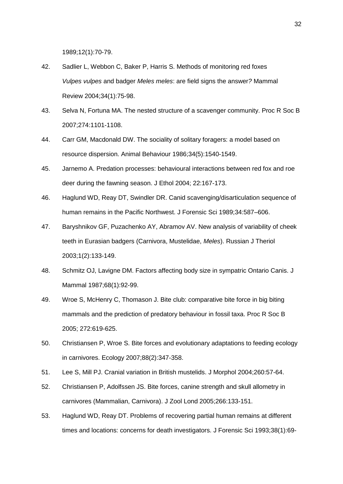1989;12(1):70-79.

- 42. Sadlier L, Webbon C, Baker P, Harris S. Methods of monitoring red foxes *Vulpes vulpes* and badger *Meles meles*: are field signs the answer*?* Mammal Review 2004;34(1):75-98.
- 43. Selva N, Fortuna MA. The nested structure of a scavenger community. Proc R Soc B 2007;274:1101-1108.
- 44. Carr GM, Macdonald DW. The sociality of solitary foragers: a model based on resource dispersion. Animal Behaviour 1986;34(5):1540-1549.
- 45. Jarnemo A. Predation processes: behavioural interactions between red fox and roe deer during the fawning season. J Ethol 2004; 22:167-173.
- 46. Haglund WD, Reay DT, Swindler DR. Canid scavenging/disarticulation sequence of human remains in the Pacific Northwest. J Forensic Sci 1989;34:587–606.
- 47. Baryshnikov GF, Puzachenko AY, Abramov AV. New analysis of variability of cheek teeth in Eurasian badgers (Carnivora, Mustelidae, *Meles*). Russian J Theriol 2003;1(2):133-149.
- 48. Schmitz OJ, Lavigne DM. Factors affecting body size in sympatric Ontario Canis. J Mammal 1987;68(1):92-99.
- 49. Wroe S, McHenry C, Thomason J. Bite club: comparative bite force in big biting mammals and the prediction of predatory behaviour in fossil taxa. Proc R Soc B 2005; 272:619-625.
- 50. Christiansen P, Wroe S. Bite forces and evolutionary adaptations to feeding ecology in carnivores. Ecology 2007;88(2):347-358.
- 51. Lee S, Mill PJ. Cranial variation in British mustelids. J Morphol 2004;260:57-64.
- 52. Christiansen P, Adolfssen JS. Bite forces, canine strength and skull allometry in carnivores (Mammalian, Carnivora). J Zool Lond 2005;266:133-151.
- 53. Haglund WD, Reay DT. Problems of recovering partial human remains at different times and locations: concerns for death investigators. J Forensic Sci 1993;38(1):69-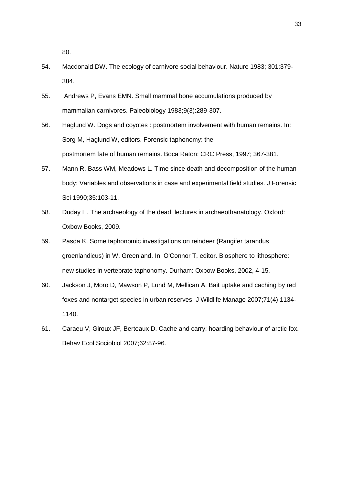80.

- 54. Macdonald DW. The ecology of carnivore social behaviour. Nature 1983; 301:379- 384.
- 55. Andrews P, Evans EMN. Small mammal bone accumulations produced by mammalian carnivores. Paleobiology 1983;9(3):289-307.
- 56. Haglund W. Dogs and coyotes : postmortem involvement with human remains. In: Sorg M, Haglund W, editors. Forensic taphonomy: the postmortem fate of human remains. Boca Raton: CRC Press, 1997; 367-381.
- 57. Mann R, Bass WM, Meadows L. Time since death and decomposition of the human body: Variables and observations in case and experimental field studies. J Forensic Sci 1990;35:103-11.
- 58. Duday H. The archaeology of the dead: lectures in archaeothanatology. Oxford: Oxbow Books, 2009.
- 59. Pasda K. Some taphonomic investigations on reindeer (Rangifer tarandus groenlandicus) in W. Greenland. In: O'Connor T, editor. Biosphere to lithosphere: new studies in vertebrate taphonomy. Durham: Oxbow Books, 2002, 4-15.
- 60. Jackson J, Moro D, Mawson P, Lund M, Mellican A. Bait uptake and caching by red foxes and nontarget species in urban reserves. J Wildlife Manage 2007;71(4):1134- 1140.
- 61. Caraeu V, Giroux JF, Berteaux D. Cache and carry: hoarding behaviour of arctic fox. Behav Ecol Sociobiol 2007;62:87-96.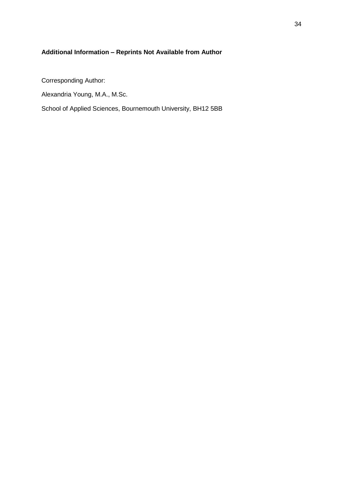## **Additional Information – Reprints Not Available from Author**

Corresponding Author:

Alexandria Young, M.A., M.Sc.

School of Applied Sciences, Bournemouth University, BH12 5BB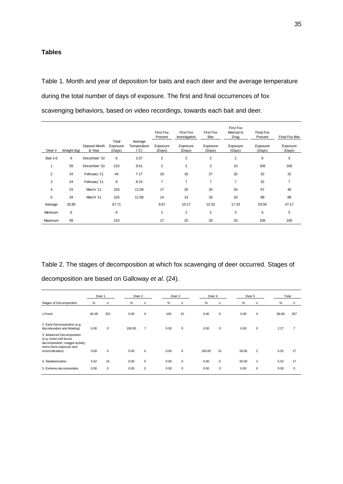## **Tables**

Table 1. Month and year of deposition for baits and each deer and the average temperature during the total number of days of exposure. The first and final occurrences of fox scavenging behaviors, based on video recordings, towards each bait and deer.

|                 |             |                         | Total              | Average             | <b>First Fox</b><br>Present | First Fox<br>Investigation | First Fox<br>Bite  | <b>First Fox</b><br>Attempt to<br>Drag | Final Fox<br>Present | Final Fox Bite     |
|-----------------|-------------|-------------------------|--------------------|---------------------|-----------------------------|----------------------------|--------------------|----------------------------------------|----------------------|--------------------|
| Deer#           | Weight (kg) | Deposit Month<br>& Year | Exposure<br>(Days) | Temperature<br>(°C) | Exposure<br>(Days)          | Exposure<br>(Days)         | Exposure<br>(Days) | Exposure<br>(Days)                     | Exposure<br>(Days)   | Exposure<br>(Days) |
| <b>Bait 1-6</b> | 6           | December '10            | 6                  | 2.57                | $\overline{2}$              | $\overline{2}$             | 2                  | $\overline{2}$                         | 6                    | 5                  |
| 1               | 59          | December '10            | 210                | 9.51                | $\overline{2}$              | $\overline{\mathbf{c}}$    | 3                  | 10                                     | 106                  | 106                |
| 2               | 24          | February '11            | 44                 | 7.17                | 16                          | 16                         | 27                 | 32                                     | 32                   | 31                 |
| 3               | 24          | February '11            | 8                  | 8.10                | $\overline{7}$              | $\overline{7}$             | $\overline{7}$     | $\overline{7}$                         | 32                   | $\overline{7}$     |
| 4               | 23          | March '11               | 103                | 12.58               | 17                          | 20                         | 20                 | 20                                     | 57                   | 46                 |
| 5               | 34          | March '11               | 103                | 12.58               | 14                          | 14                         | 33                 | 33                                     | 88                   | 88                 |
| Average         | 32.80       |                         | 67.71              |                     | 9.67                        | 10.17                      | 15.33              | 17.33                                  | 53.50                | 47.17              |
| Minimum         | 6           |                         | 6                  |                     | $\overline{2}$              | $\overline{c}$             | 2                  | $\overline{2}$                         | 6                    | 5                  |
| Maximum         | 59          |                         | 210                |                     | 17                          | 20                         | 33                 | 33                                     | 106                  | 106                |

Table 2. The stages of decomposition at which fox scavenging of deer occurred. Stages of decomposition are based on Galloway *et al*. (24).

|                                                                                         | Deer 1 |             |        | Deer <sub>2</sub> |      | Deer 3      |        | Deer 4      |       | Deer <sub>5</sub> |  | Total |             |
|-----------------------------------------------------------------------------------------|--------|-------------|--------|-------------------|------|-------------|--------|-------------|-------|-------------------|--|-------|-------------|
| Stages of Decomposition                                                                 | %      | n           | %      | n.                | %    | n           | %      | n           | %     | n.                |  | %     | n           |
| 1.Fresh                                                                                 | 94.38  | 252         | 0.00   | $\mathbf 0$       | 100  | 15          | 0.00   | $\mathbf 0$ | 0.00  | $\mathbf 0$       |  | 86.69 | 267         |
| 2. Early Decomposition (e.g.<br>discolouration and bloating)                            | 0.00   | $\Omega$    | 100.00 | $\overline{7}$    | 0.00 | $\mathbf 0$ | 0.00   | $\mathbf 0$ | 0.00  | $\mathbf 0$       |  | 2.27  |             |
| 3. Advanced Decomposition<br>(e.g. moist soft tissue<br>decomposition; maggot activity; |        |             |        |                   |      |             |        |             |       |                   |  |       |             |
| some bone exposure and<br>mummification)                                                | 0.00   | $\mathbf 0$ | 0.00   | $\mathbf 0$       | 0.00 | $\mathbf 0$ | 100.00 | 15          | 50.00 | $\overline{2}$    |  | 5.52  | 17          |
| 4. Skeletonization                                                                      | 5.62   | 15          | 0.00   | $\mathbf 0$       | 0.00 | $\mathbf 0$ | 0.00   | $\mathbf 0$ | 50.00 | $\overline{2}$    |  | 5.52  | 17          |
| 5. Extreme decomposition                                                                | 0.00   | 0           | 0.00   | $\mathbf 0$       | 0.00 | $\mathbf 0$ | 0.00   | $\mathbf 0$ | 0.00  | $\mathbf 0$       |  | 0.00  | $\mathbf 0$ |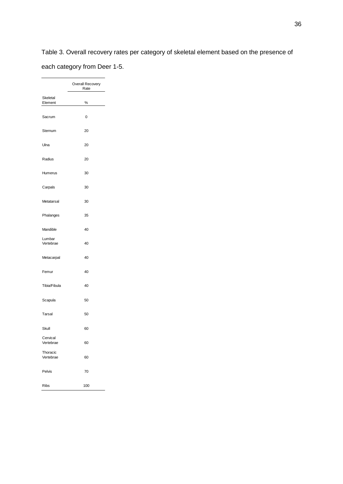Table 3. Overall recovery rates per category of skeletal element based on the presence of each category from Deer 1-5.

|                       | Overall Recovery<br>Rate |
|-----------------------|--------------------------|
| Skeletal<br>Element   | %                        |
| Sacrum                | 0                        |
| Sternum               | 20                       |
| Ulna                  | 20                       |
| Radius                | 20                       |
| Humerus               | 30                       |
| Carpals               | 30                       |
| Metatarsal            | 30                       |
| Phalanges             | 35                       |
| Mandible              | 40                       |
| Lumbar<br>Vertebrae   | 40                       |
| Metacarpal            | 40                       |
| Femur                 | 40                       |
| Tibia/Fibula          | 40                       |
| Scapula               | 50                       |
| Tarsal                | 50                       |
| Skull                 | 60                       |
| Cervical<br>Vertebrae | 60                       |
| Thoracic<br>Vertebrae | 60                       |
| Pelvis                | 70                       |
| Ribs                  | 100                      |